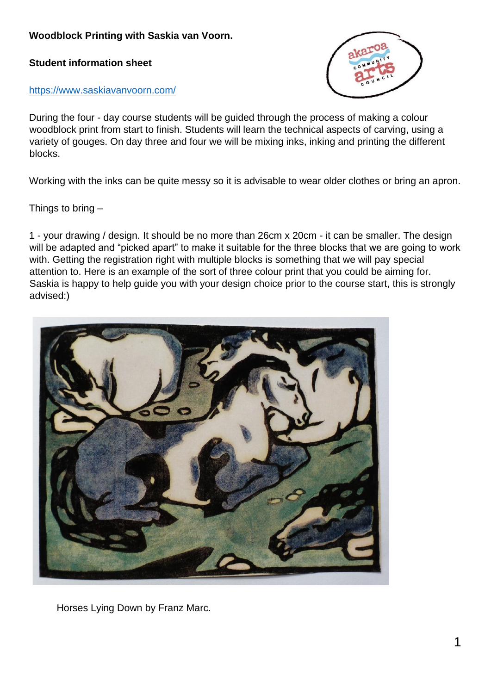## **Woodblock Printing with Saskia van Voorn.**

**Student information sheet**



<https://www.saskiavanvoorn.com/>

During the four - day course students will be guided through the process of making a colour woodblock print from start to finish. Students will learn the technical aspects of carving, using a variety of gouges. On day three and four we will be mixing inks, inking and printing the different blocks.

Working with the inks can be quite messy so it is advisable to wear older clothes or bring an apron.

Things to bring  $-$ 

1 - your drawing / design. It should be no more than 26cm x 20cm - it can be smaller. The design will be adapted and "picked apart" to make it suitable for the three blocks that we are going to work with. Getting the registration right with multiple blocks is something that we will pay special attention to. Here is an example of the sort of three colour print that you could be aiming for. Saskia is happy to help guide you with your design choice prior to the course start, this is strongly advised:)



Horses Lying Down by Franz Marc.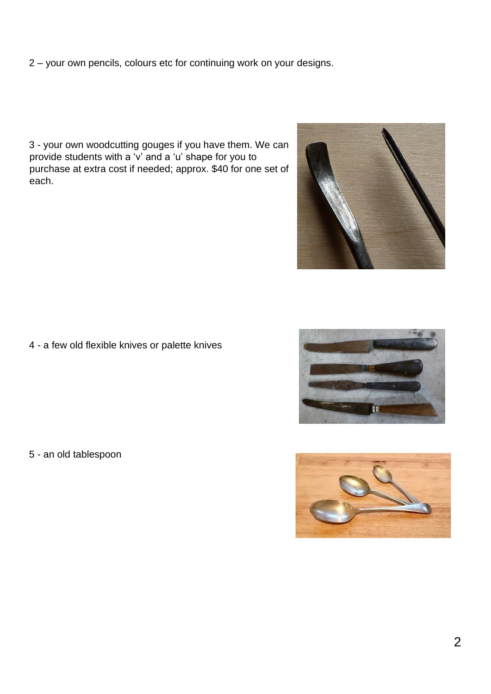2 – your own pencils, colours etc for continuing work on your designs.

3 - your own woodcutting gouges if you have them. We can provide students with a 'v' and a 'u' shape for you to purchase at extra cost if needed; approx. \$40 for one set of each.



4 - a few old flexible knives or palette knives

5 - an old tablespoon



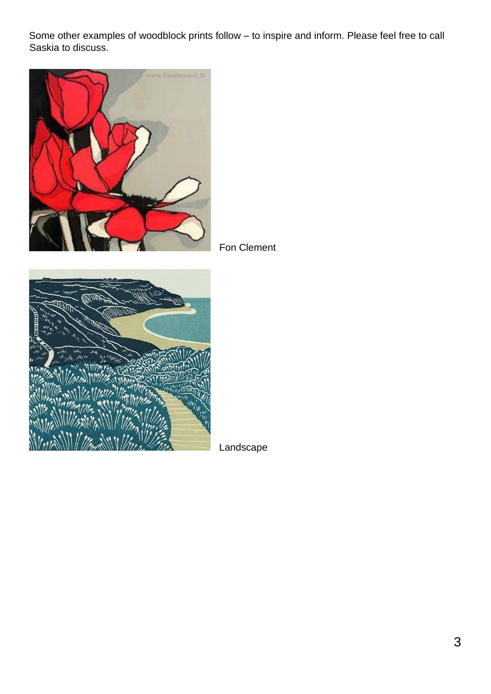Some other examples of woodblock prints follow – to inspire and inform. Please feel free to call Saskia to discuss.



Fon Clement



Landscape